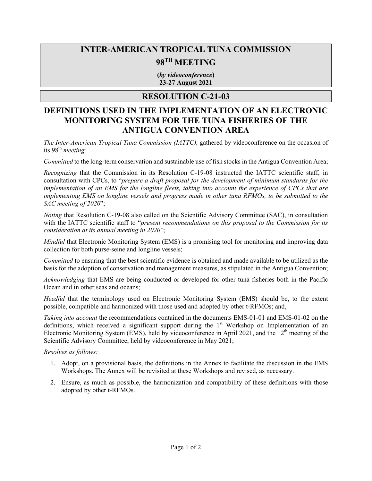## **INTER-AMERICAN TROPICAL TUNA COMMISSION**

# **98TH MEETING**

**(***by videoconference***) 23-27 August 2021**

### **RESOLUTION C-21-03**

### **DEFINITIONS USED IN THE IMPLEMENTATION OF AN ELECTRONIC MONITORING SYSTEM FOR THE TUNA FISHERIES OF THE ANTIGUA CONVENTION AREA**

*The Inter-American Tropical Tuna Commission (IATTC),* gathered by videoconference on the occasion of its 98<sup>th</sup> meeting:

*Committed* to the long-term conservation and sustainable use of fish stocks in the Antigua Convention Area;

*Recognizing* that the Commission in its Resolution C-19-08 instructed the IATTC scientific staff, in consultation with CPCs, to "*prepare a draft proposal for the development of minimum standards for the implementation of an EMS for the longline fleets, taking into account the experience of CPCs that are implementing EMS on longline vessels and progress made in other tuna RFMOs, to be submitted to the SAC meeting of 2020*";

*Noting* that Resolution C-19-08 also called on the Scientific Advisory Committee (SAC), in consultation with the IATTC scientific staff to "*present recommendations on this proposal to the Commission for its consideration at its annual meeting in 2020*";

*Mindful* that Electronic Monitoring System (EMS) is a promising tool for monitoring and improving data collection for both purse-seine and longline vessels;

*Committed* to ensuring that the best scientific evidence is obtained and made available to be utilized as the basis for the adoption of conservation and management measures, as stipulated in the Antigua Convention;

*Acknowledging* that EMS are being conducted or developed for other tuna fisheries both in the Pacific Ocean and in other seas and oceans;

*Heedful* that the terminology used on Electronic Monitoring System (EMS) should be, to the extent possible, compatible and harmonized with those used and adopted by other t-RFMOs; and,

*Taking into account* the recommendations contained in the documents EMS-01-01 and EMS-01-02 on the definitions, which received a significant support during the  $1<sup>st</sup>$  Workshop on Implementation of an Electronic Monitoring System (EMS), held by videoconference in April 2021, and the 12<sup>th</sup> meeting of the Scientific Advisory Committee, held by videoconference in May 2021;

*Resolves as follows:*

- 1. Adopt, on a provisional basis, the definitions in the Annex to facilitate the discussion in the EMS Workshops. The Annex will be revisited at these Workshops and revised, as necessary.
- 2. Ensure, as much as possible, the harmonization and compatibility of these definitions with those adopted by other t-RFMOs.